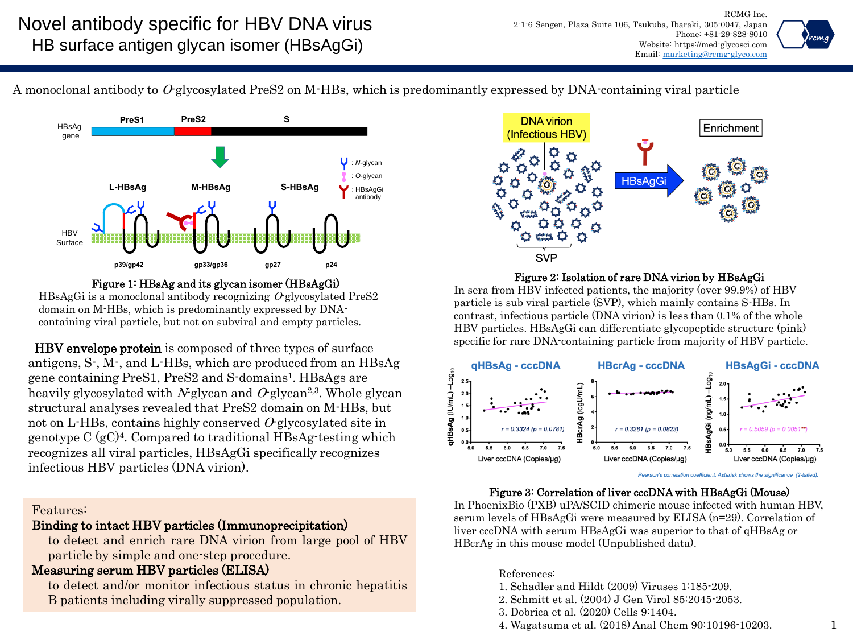

A monoclonal antibody to  $O$ -glycosylated PreS2 on M-HBs, which is predominantly expressed by DNA-containing viral particle



Figure 1: HBsAg and its glycan isomer (HBsAgGi) HBsAgGi is a monoclonal antibody recognizing  $O$  glycosylated PreS2 domain on M-HBs, which is predominantly expressed by DNAcontaining viral particle, but not on subviral and empty particles.

HBV envelope protein is composed of three types of surface antigens, S-, M-, and L-HBs, which are produced from an HBsAg gene containing PreS1, PreS2 and S-domains<sup>1</sup> . HBsAgs are heavily glycosylated with N-glycan and  $O$ -glycan<sup>2,3</sup>. Whole glycan structural analyses revealed that PreS2 domain on M-HBs, but not on L-HBs, contains highly conserved  $O$ -glycosylated site in genotype C (gC) 4 . Compared to traditional HBsAg-testing which recognizes all viral particles, HBsAgGi specifically recognizes infectious HBV particles (DNA virion).

## Features:

# Binding to intact HBV particles (Immunoprecipitation)

to detect and enrich rare DNA virion from large pool of HBV particle by simple and one-step procedure.

## Measuring serum HBV particles (ELISA)

to detect and/or monitor infectious status in chronic hepatitis B patients including virally suppressed population.



### Figure 2: Isolation of rare DNA virion by HBsAgGi

In sera from HBV infected patients, the majority (over 99.9%) of HBV particle is sub viral particle (SVP), which mainly contains S-HBs. In contrast, infectious particle (DNA virion) is less than 0.1% of the whole HBV particles. HBsAgGi can differentiate glycopeptide structure (pink) specific for rare DNA-containing particle from majority of HBV particle.



Pearson's correlation coefficient. Asterisk shows the significance (2-tailed).

## Figure 3: Correlation of liver cccDNA with HBsAgGi (Mouse)

In PhoenixBio (PXB) uPA/SCID chimeric mouse infected with human HBV, serum levels of HBsAgGi were measured by ELISA (n=29). Correlation of liver cccDNA with serum HBsAgGi was superior to that of qHBsAg or HBcrAg in this mouse model (Unpublished data).

References:

- 1. Schadler and Hildt (2009) Viruses 1:185-209.
- 2. Schmitt et al. (2004) J Gen Virol 85:2045-2053.
- 3. Dobrica et al. (2020) Cells 9:1404.
- 4. Wagatsuma et al. (2018) Anal Chem 90:10196-10203.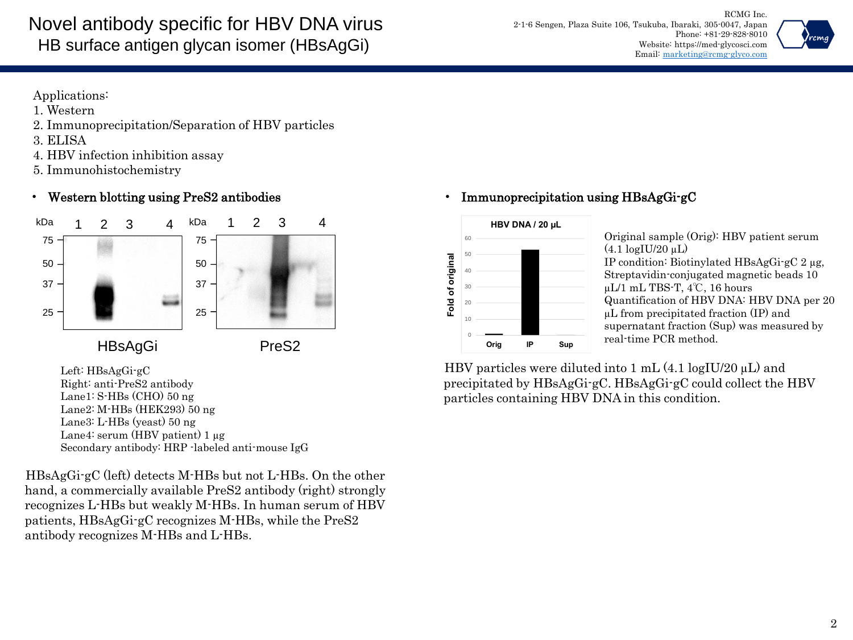

Applications:

- 1. Western
- 2. Immunoprecipitation/Separation of HBV particles
- 3. ELISA
- 4. HBV infection inhibition assay
- 5. Immunohistochemistry

# • Western blotting using PreS2 antibodies



Left: HBsAgGi-gC Right: anti-PreS2 antibody Lane1: S-HBs (CHO) 50 ng Lane2: M-HBs (HEK293) 50 ng Lane3: L-HBs (yeast) 50 ng Lane4: serum (HBV patient) 1 µg Secondary antibody: HRP -labeled anti-mouse IgG

HBsAgGi-gC (left) detects M-HBs but not L-HBs. On the other hand, a commercially available PreS2 antibody (right) strongly recognizes L-HBs but weakly M-HBs. In human serum of HBV patients, HBsAgGi-gC recognizes M-HBs, while the PreS2 antibody recognizes M-HBs and L-HBs.

# • Immunoprecipitation using HBsAgGi-gC



Original sample (Orig): HBV patient serum  $(4.1 \log I U/20 \mu L)$ IP condition: Biotinylated HBsAgGi-gC 2 µg, Streptavidin-conjugated magnetic beads 10 µL/1 mL TBS-T, 4℃, 16 hours Quantification of HBV DNA: HBV DNA per 20 µL from precipitated fraction (IP) and supernatant fraction (Sup) was measured by real-time PCR method.

HBV particles were diluted into 1 mL  $(4.1 \log U/20 \mu L)$  and precipitated by HBsAgGi-gC. HBsAgGi-gC could collect the HBV particles containing HBV DNA in this condition.